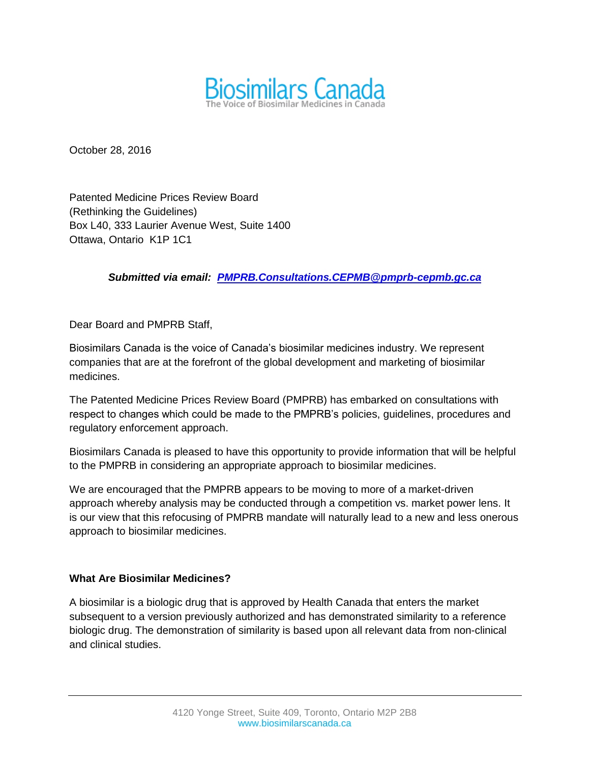

October 28, 2016

Patented Medicine Prices Review Board (Rethinking the Guidelines) Box L40, 333 Laurier Avenue West, Suite 1400 Ottawa, Ontario K1P 1C1

## *Submitted via email: [PMPRB.Consultations.CEPMB@pmprb-cepmb.gc.ca](mailto:PMPRB.Consultations.CEPMB@pmprb-cepmb.gc.ca)*

Dear Board and PMPRB Staff,

Biosimilars Canada is the voice of Canada's biosimilar medicines industry. We represent companies that are at the forefront of the global development and marketing of biosimilar medicines.

The Patented Medicine Prices Review Board (PMPRB) has embarked on consultations with respect to changes which could be made to the PMPRB's policies, guidelines, procedures and regulatory enforcement approach.

Biosimilars Canada is pleased to have this opportunity to provide information that will be helpful to the PMPRB in considering an appropriate approach to biosimilar medicines.

We are encouraged that the PMPRB appears to be moving to more of a market-driven approach whereby analysis may be conducted through a competition vs. market power lens. It is our view that this refocusing of PMPRB mandate will naturally lead to a new and less onerous approach to biosimilar medicines.

### **What Are Biosimilar Medicines?**

A biosimilar is a biologic drug that is approved by Health Canada that enters the market subsequent to a version previously authorized and has demonstrated similarity to a reference biologic drug. The demonstration of similarity is based upon all relevant data from non-clinical and clinical studies.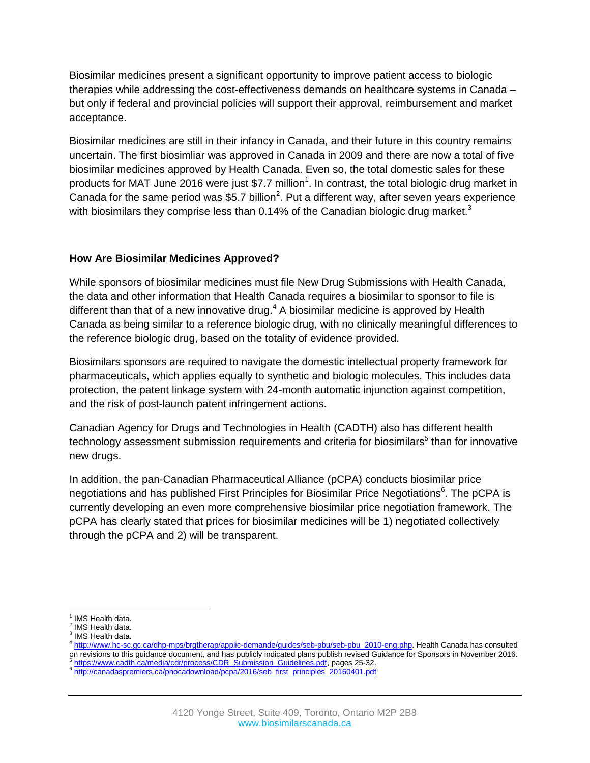Biosimilar medicines present a significant opportunity to improve patient access to biologic therapies while addressing the cost-effectiveness demands on healthcare systems in Canada – but only if federal and provincial policies will support their approval, reimbursement and market acceptance.

Biosimilar medicines are still in their infancy in Canada, and their future in this country remains uncertain. The first biosimliar was approved in Canada in 2009 and there are now a total of five biosimilar medicines approved by Health Canada. Even so, the total domestic sales for these products for MAT June 2016 were just \$7.7 million<sup>1</sup>. In contrast, the total biologic drug market in Canada for the same period was \$5.7 billion<sup>2</sup>. Put a different way, after seven years experience with biosimilars they comprise less than  $0.14\%$  of the Canadian biologic drug market.<sup>3</sup>

## **How Are Biosimilar Medicines Approved?**

While sponsors of biosimilar medicines must file New Drug Submissions with Health Canada, the data and other information that Health Canada requires a biosimilar to sponsor to file is different than that of a new innovative drug. $4$  A biosimilar medicine is approved by Health Canada as being similar to a reference biologic drug, with no clinically meaningful differences to the reference biologic drug, based on the totality of evidence provided.

Biosimilars sponsors are required to navigate the domestic intellectual property framework for pharmaceuticals, which applies equally to synthetic and biologic molecules. This includes data protection, the patent linkage system with 24-month automatic injunction against competition, and the risk of post-launch patent infringement actions.

[Canadian Agency for Drugs and Technologies in Health \(](https://en.wikipedia.org/wiki/Canadian_Agency_for_Drugs_and_Technologies_in_Health)CADTH) also has different health technology assessment submission requirements and criteria for biosimilars $^5$  than for innovative new drugs.

In addition, the pan-Canadian Pharmaceutical Alliance (pCPA) conducts biosimilar price negotiations and has published First Principles for Biosimilar Price Negotiations $^6$ . The pCPA is currently developing an even more comprehensive biosimilar price negotiation framework. The pCPA has clearly stated that prices for biosimilar medicines will be 1) negotiated collectively through the pCPA and 2) will be transparent.

 $\overline{\phantom{a}}$ <sup>1</sup> IMS Health data.

<sup>&</sup>lt;sup>2</sup> IMS Health data.

<sup>&</sup>lt;sup>3</sup> IMS Health data.

<sup>4</sup> [http://www.hc-sc.gc.ca/dhp-mps/brgtherap/applic-demande/guides/seb-pbu/seb-pbu\\_2010-eng.php.](http://www.hc-sc.gc.ca/dhp-mps/brgtherap/applic-demande/guides/seb-pbu/seb-pbu_2010-eng.php) Health Canada has consulted on revisions to this guidance document, and has publicly indicated plans publish revised Guidance for Sponsors in November 2016. <sup>5</sup> [https://www.cadth.ca/media/cdr/process/CDR\\_Submission\\_Guidelines.pdf,](https://www.cadth.ca/media/cdr/process/CDR_Submission_Guidelines.pdf) pages 25-32.

<sup>&</sup>lt;sup>6</sup> [http://canadaspremiers.ca/phocadownload/pcpa/2016/seb\\_first\\_principles\\_20160401.pdf](http://canadaspremiers.ca/phocadownload/pcpa/2016/seb_first_principles_20160401.pdf)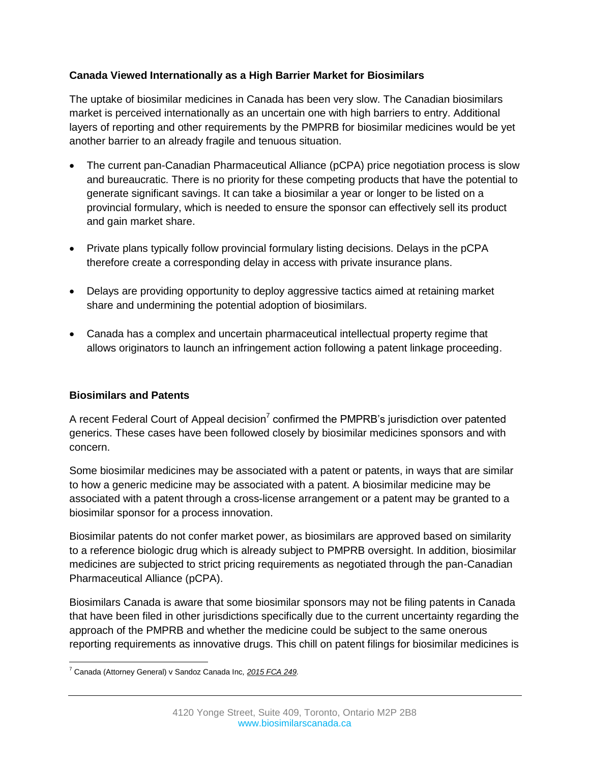# **Canada Viewed Internationally as a High Barrier Market for Biosimilars**

The uptake of biosimilar medicines in Canada has been very slow. The Canadian biosimilars market is perceived internationally as an uncertain one with high barriers to entry. Additional layers of reporting and other requirements by the PMPRB for biosimilar medicines would be yet another barrier to an already fragile and tenuous situation.

- The current pan-Canadian Pharmaceutical Alliance (pCPA) price negotiation process is slow and bureaucratic. There is no priority for these competing products that have the potential to generate significant savings. It can take a biosimilar a year or longer to be listed on a provincial formulary, which is needed to ensure the sponsor can effectively sell its product and gain market share.
- Private plans typically follow provincial formulary listing decisions. Delays in the pCPA therefore create a corresponding delay in access with private insurance plans.
- Delays are providing opportunity to deploy aggressive tactics aimed at retaining market share and undermining the potential adoption of biosimilars.
- Canada has a complex and uncertain pharmaceutical intellectual property regime that allows originators to launch an infringement action following a patent linkage proceeding.

# **Biosimilars and Patents**

A recent Federal Court of Appeal decision<sup>7</sup> confirmed the PMPRB's jurisdiction over patented generics. These cases have been followed closely by biosimilar medicines sponsors and with concern.

Some biosimilar medicines may be associated with a patent or patents, in ways that are similar to how a generic medicine may be associated with a patent. A biosimilar medicine may be associated with a patent through a cross-license arrangement or a patent may be granted to a biosimilar sponsor for a process innovation.

Biosimilar patents do not confer market power, as biosimilars are approved based on similarity to a reference biologic drug which is already subject to PMPRB oversight. In addition, biosimilar medicines are subjected to strict pricing requirements as negotiated through the pan-Canadian Pharmaceutical Alliance (pCPA).

Biosimilars Canada is aware that some biosimilar sponsors may not be filing patents in Canada that have been filed in other jurisdictions specifically due to the current uncertainty regarding the approach of the PMPRB and whether the medicine could be subject to the same onerous reporting requirements as innovative drugs. This chill on patent filings for biosimilar medicines is

 $\overline{\phantom{a}}$ <sup>7</sup> Canada (Attorney General) v Sandoz Canada Inc*[, 2015 FCA 249.](http://decisions.fca-caf.gc.ca/fca-caf/decisions/en/item/126361/index.do)*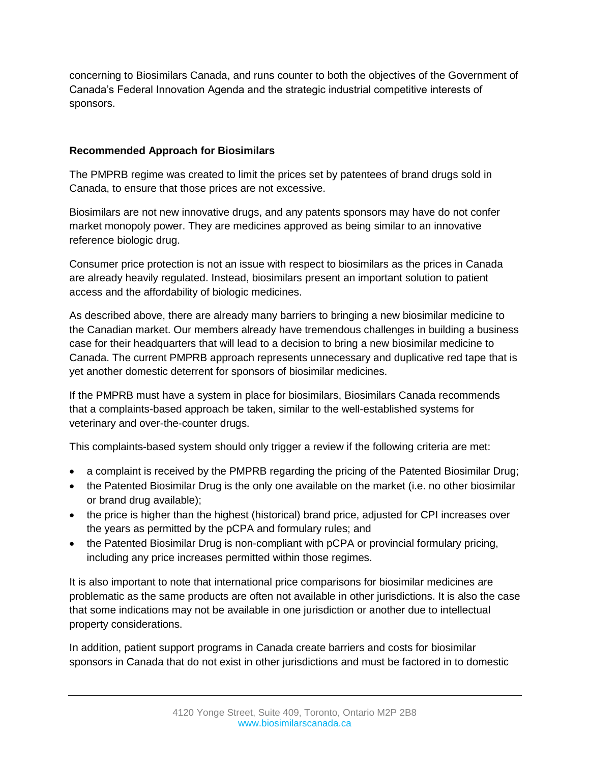concerning to Biosimilars Canada, and runs counter to both the objectives of the Government of Canada's Federal Innovation Agenda and the strategic industrial competitive interests of sponsors.

# **Recommended Approach for Biosimilars**

The PMPRB regime was created to limit the prices set by patentees of brand drugs sold in Canada, to ensure that those prices are not excessive.

Biosimilars are not new innovative drugs, and any patents sponsors may have do not confer market monopoly power. They are medicines approved as being similar to an innovative reference biologic drug.

Consumer price protection is not an issue with respect to biosimilars as the prices in Canada are already heavily regulated. Instead, biosimilars present an important solution to patient access and the affordability of biologic medicines.

As described above, there are already many barriers to bringing a new biosimilar medicine to the Canadian market. Our members already have tremendous challenges in building a business case for their headquarters that will lead to a decision to bring a new biosimilar medicine to Canada. The current PMPRB approach represents unnecessary and duplicative red tape that is yet another domestic deterrent for sponsors of biosimilar medicines.

If the PMPRB must have a system in place for biosimilars, Biosimilars Canada recommends that a complaints-based approach be taken, similar to the well-established systems for veterinary and over-the-counter drugs.

This complaints-based system should only trigger a review if the following criteria are met:

- a complaint is received by the PMPRB regarding the pricing of the Patented Biosimilar Drug;
- the Patented Biosimilar Drug is the only one available on the market (i.e. no other biosimilar or brand drug available);
- the price is higher than the highest (historical) brand price, adjusted for CPI increases over the years as permitted by the pCPA and formulary rules; and
- the Patented Biosimilar Drug is non-compliant with pCPA or provincial formulary pricing, including any price increases permitted within those regimes.

It is also important to note that international price comparisons for biosimilar medicines are problematic as the same products are often not available in other jurisdictions. It is also the case that some indications may not be available in one jurisdiction or another due to intellectual property considerations.

In addition, patient support programs in Canada create barriers and costs for biosimilar sponsors in Canada that do not exist in other jurisdictions and must be factored in to domestic